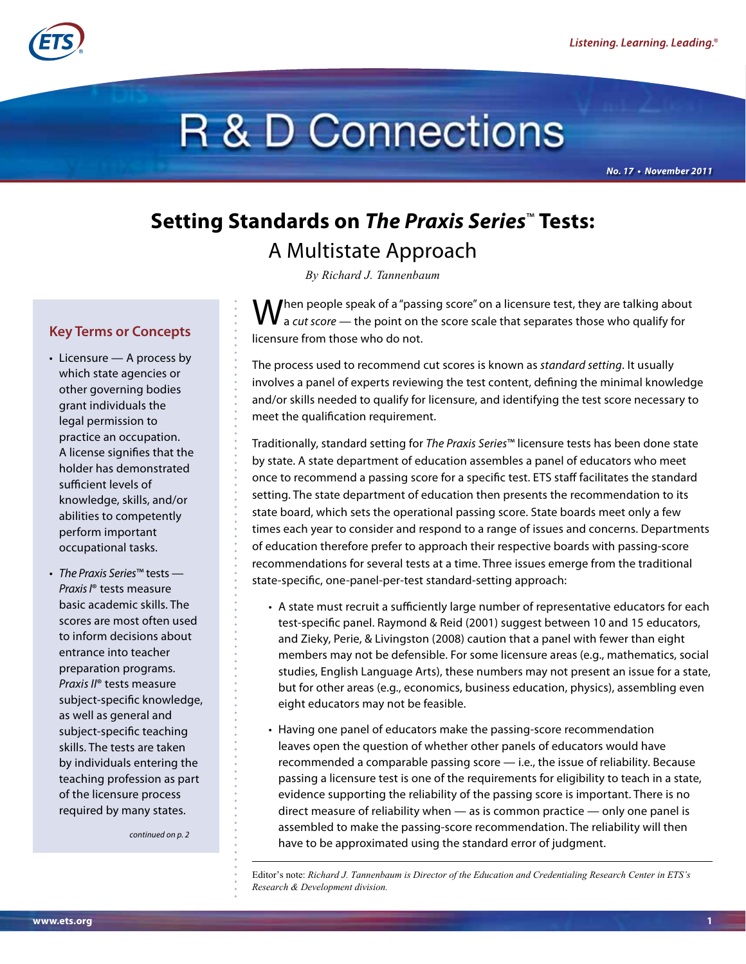

# **R & D Connections**

*No. 17 • November 2011*

# **Setting Standards on** *The Praxis Series*™ **Tests:**  A Multistate Approach

*By Richard J. Tannenbaum*

 $\int$ hen people speak of a "passing score" on a licensure test, they are talking about a *cut score* — the point on the score scale that separates those who qualify for licensure from those who do not.

The process used to recommend cut scores is known as *standard setting*. It usually involves a panel of experts reviewing the test content, defining the minimal knowledge and/or skills needed to qualify for licensure, and identifying the test score necessary to meet the qualification requirement.

Traditionally, standard setting for *The Praxis Series*™ licensure tests has been done state by state. A state department of education assembles a panel of educators who meet once to recommend a passing score for a specific test. ETS staff facilitates the standard setting. The state department of education then presents the recommendation to its state board, which sets the operational passing score. State boards meet only a few times each year to consider and respond to a range of issues and concerns. Departments of education therefore prefer to approach their respective boards with passing-score recommendations for several tests at a time. Three issues emerge from the traditional state-specific, one-panel-per-test standard-setting approach:

- A state must recruit a sufficiently large number of representative educators for each test-specific panel. Raymond & Reid (2001) suggest between 10 and 15 educators, and Zieky, Perie, & Livingston (2008) caution that a panel with fewer than eight members may not be defensible. For some licensure areas (e.g., mathematics, social studies, English Language Arts), these numbers may not present an issue for a state, but for other areas (e.g., economics, business education, physics), assembling even eight educators may not be feasible.
- Having one panel of educators make the passing-score recommendation leaves open the question of whether other panels of educators would have recommended a comparable passing score — i.e., the issue of reliability. Because passing a licensure test is one of the requirements for eligibility to teach in a state, evidence supporting the reliability of the passing score is important. There is no direct measure of reliability when — as is common practice — only one panel is assembled to make the passing-score recommendation. The reliability will then have to be approximated using the standard error of judgment.

Editor's note: *Richard J. Tannenbaum is Director of the Education and Credentialing Research Center in ETS's Research & Development division.*

### **Key Terms or Concepts**

- Licensure A process by which state agencies or other governing bodies grant individuals the legal permission to practice an occupation. A license signifies that the holder has demonstrated sufficient levels of knowledge, skills, and/or abilities to competently perform important occupational tasks.
- *• The Praxis Series*™ tests *Praxis I*® tests measure basic academic skills. The scores are most often used to inform decisions about entrance into teacher preparation programs. *Praxis II*® tests measure subject-specific knowledge, as well as general and subject-specific teaching skills. The tests are taken by individuals entering the teaching profession as part of the licensure process required by many states.

*continued on p. 2*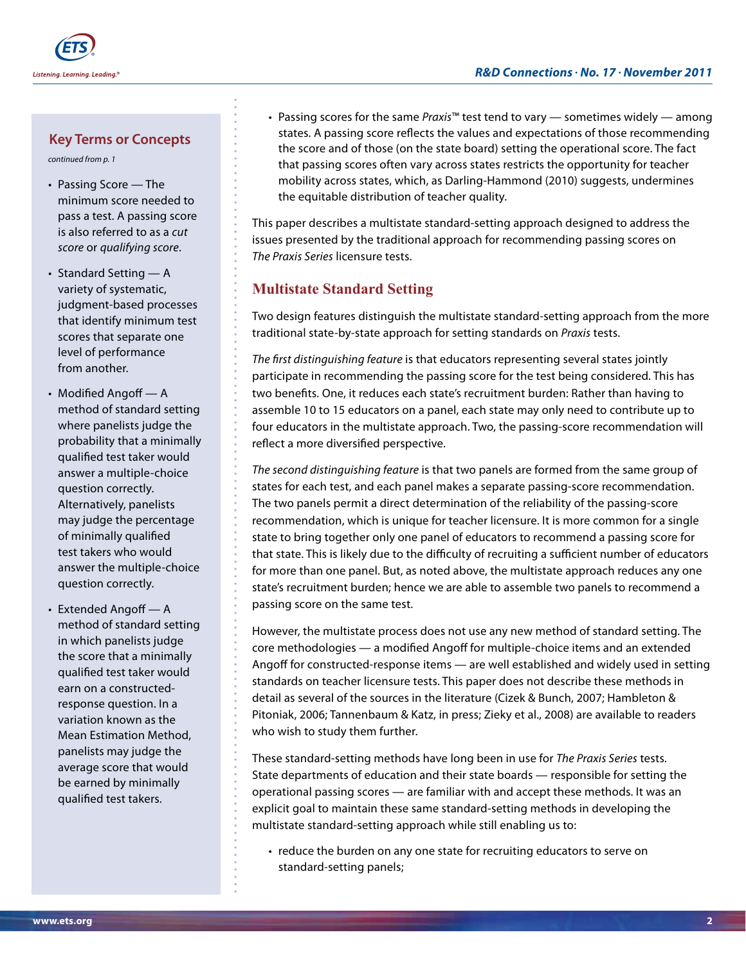#### **Key Terms or Concepts**

*continued from p. 1*

- Passing Score The minimum score needed to pass a test. A passing score is also referred to as a *cut score* or *qualifying score*.
- Standard Setting A variety of systematic, judgment-based processes that identify minimum test scores that separate one level of performance from another.
- Modified Angoff A method of standard setting where panelists judge the probability that a minimally qualified test taker would answer a multiple-choice question correctly. Alternatively, panelists may judge the percentage of minimally qualified test takers who would answer the multiple-choice question correctly.
- Extended Angoff A method of standard setting in which panelists judge the score that a minimally qualified test taker would earn on a constructedresponse question. In a variation known as the Mean Estimation Method, panelists may judge the average score that would be earned by minimally qualified test takers.

• Passing scores for the same *Praxis*™ test tend to vary — sometimes widely — among states. A passing score reflects the values and expectations of those recommending the score and of those (on the state board) setting the operational score. The fact that passing scores often vary across states restricts the opportunity for teacher mobility across states, which, as Darling-Hammond (2010) suggests, undermines the equitable distribution of teacher quality.

This paper describes a multistate standard-setting approach designed to address the issues presented by the traditional approach for recommending passing scores on *The Praxis Series* licensure tests.

## **Multistate Standard Setting**

Two design features distinguish the multistate standard-setting approach from the more traditional state-by-state approach for setting standards on *Praxis* tests.

*The first distinguishing feature* is that educators representing several states jointly participate in recommending the passing score for the test being considered. This has two benefits. One, it reduces each state's recruitment burden: Rather than having to assemble 10 to 15 educators on a panel, each state may only need to contribute up to four educators in the multistate approach. Two, the passing-score recommendation will reflect a more diversified perspective.

*The second distinguishing feature* is that two panels are formed from the same group of states for each test, and each panel makes a separate passing-score recommendation. The two panels permit a direct determination of the reliability of the passing-score recommendation, which is unique for teacher licensure. It is more common for a single state to bring together only one panel of educators to recommend a passing score for that state. This is likely due to the difficulty of recruiting a sufficient number of educators for more than one panel. But, as noted above, the multistate approach reduces any one state's recruitment burden; hence we are able to assemble two panels to recommend a passing score on the same test.

However, the multistate process does not use any new method of standard setting. The core methodologies — a modified Angoff for multiple-choice items and an extended Angoff for constructed-response items — are well established and widely used in setting standards on teacher licensure tests. This paper does not describe these methods in detail as several of the sources in the literature (Cizek & Bunch, 2007; Hambleton & Pitoniak, 2006; Tannenbaum & Katz, in press; Zieky et al., 2008) are available to readers who wish to study them further.

These standard-setting methods have long been in use for *The Praxis Series* tests. State departments of education and their state boards — responsible for setting the operational passing scores — are familiar with and accept these methods. It was an explicit goal to maintain these same standard-setting methods in developing the multistate standard-setting approach while still enabling us to:

• reduce the burden on any one state for recruiting educators to serve on standard-setting panels;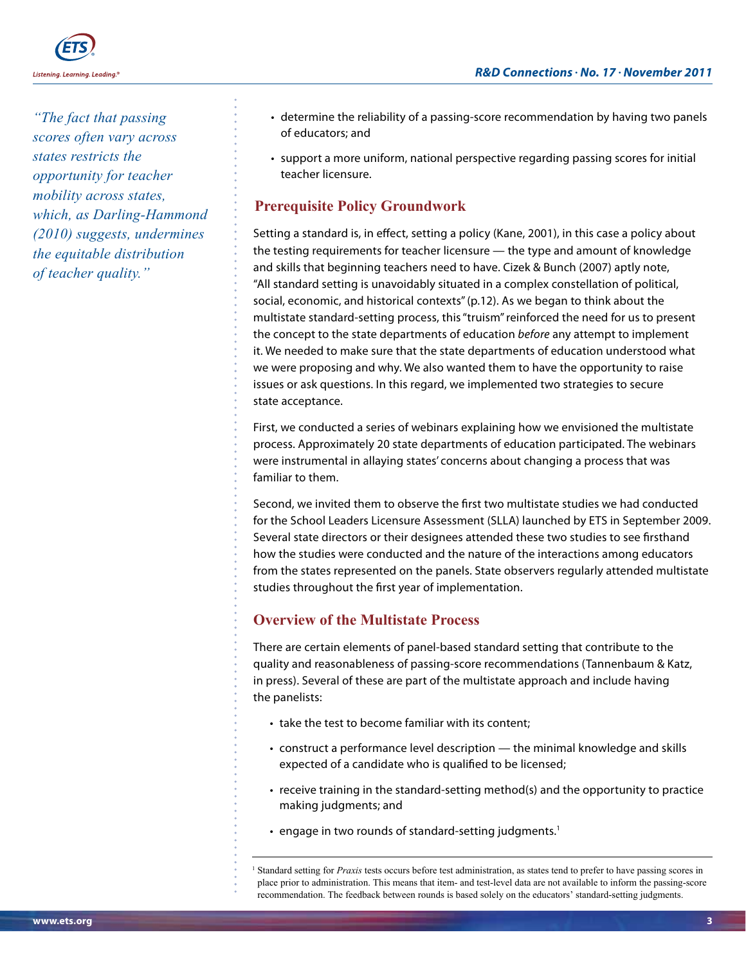

*"The fact that passing scores often vary across states restricts the opportunity for teacher mobility across states, which, as Darling-Hammond (2010) suggests, undermines the equitable distribution of teacher quality."*

- determine the reliability of a passing-score recommendation by having two panels of educators; and
- support a more uniform, national perspective regarding passing scores for initial teacher licensure.

# **Prerequisite Policy Groundwork**

Setting a standard is, in effect, setting a policy (Kane, 2001), in this case a policy about the testing requirements for teacher licensure — the type and amount of knowledge and skills that beginning teachers need to have. Cizek & Bunch (2007) aptly note, "All standard setting is unavoidably situated in a complex constellation of political, social, economic, and historical contexts" (p.12). As we began to think about the multistate standard-setting process, this "truism" reinforced the need for us to present the concept to the state departments of education *before* any attempt to implement it. We needed to make sure that the state departments of education understood what we were proposing and why. We also wanted them to have the opportunity to raise issues or ask questions. In this regard, we implemented two strategies to secure state acceptance.

First, we conducted a series of webinars explaining how we envisioned the multistate process. Approximately 20 state departments of education participated. The webinars were instrumental in allaying states' concerns about changing a process that was familiar to them.

Second, we invited them to observe the first two multistate studies we had conducted for the School Leaders Licensure Assessment (SLLA) launched by ETS in September 2009. Several state directors or their designees attended these two studies to see firsthand how the studies were conducted and the nature of the interactions among educators from the states represented on the panels. State observers regularly attended multistate studies throughout the first year of implementation.

# **Overview of the Multistate Process**

There are certain elements of panel-based standard setting that contribute to the quality and reasonableness of passing-score recommendations (Tannenbaum & Katz, in press). Several of these are part of the multistate approach and include having the panelists:

- take the test to become familiar with its content;
- construct a performance level description the minimal knowledge and skills expected of a candidate who is qualified to be licensed;
- receive training in the standard-setting method(s) and the opportunity to practice making judgments; and
- $\cdot$  engage in two rounds of standard-setting judgments.<sup>1</sup>

<sup>1</sup> Standard setting for *Praxis* tests occurs before test administration, as states tend to prefer to have passing scores in place prior to administration. This means that item- and test-level data are not available to inform the passing-score recommendation. The feedback between rounds is based solely on the educators' standard-setting judgments.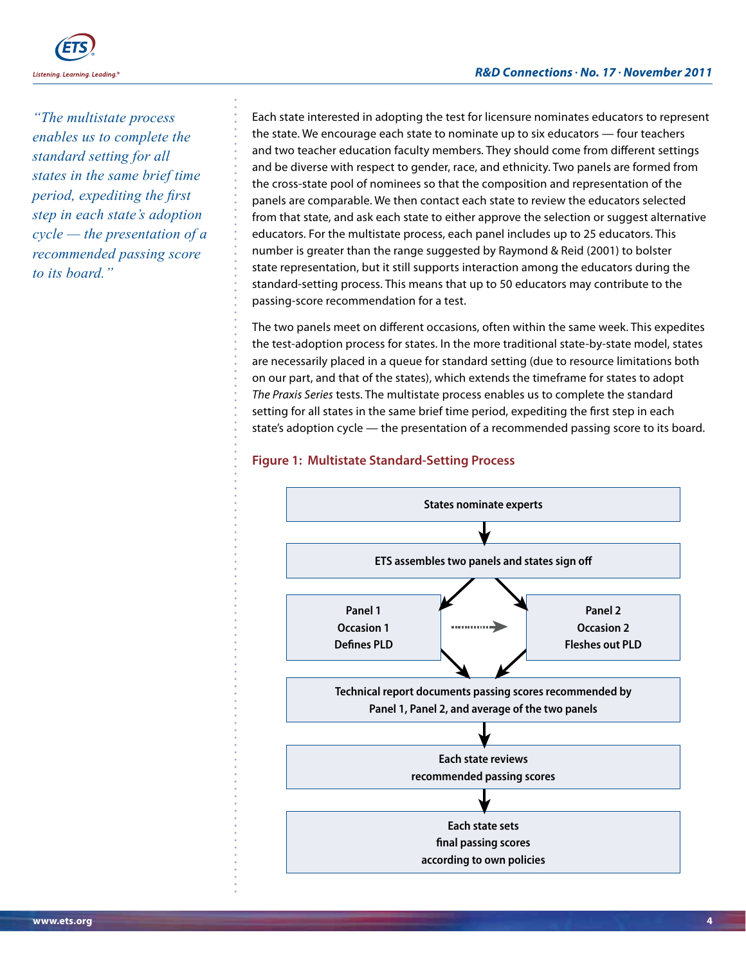

*"The multistate process enables us to complete the standard setting for all states in the same brief time period, expediting the first step in each state's adoption cycle — the presentation of a recommended passing score to its board."* 

Each state interested in adopting the test for licensure nominates educators to represent the state. We encourage each state to nominate up to six educators — four teachers and two teacher education faculty members. They should come from different settings and be diverse with respect to gender, race, and ethnicity. Two panels are formed from the cross-state pool of nominees so that the composition and representation of the panels are comparable. We then contact each state to review the educators selected from that state, and ask each state to either approve the selection or suggest alternative educators. For the multistate process, each panel includes up to 25 educators. This number is greater than the range suggested by Raymond & Reid (2001) to bolster state representation, but it still supports interaction among the educators during the standard-setting process. This means that up to 50 educators may contribute to the passing-score recommendation for a test.

The two panels meet on different occasions, often within the same week. This expedites the test-adoption process for states. In the more traditional state-by-state model, states are necessarily placed in a queue for standard setting (due to resource limitations both on our part, and that of the states), which extends the timeframe for states to adopt *The Praxis Series* tests. The multistate process enables us to complete the standard setting for all states in the same brief time period, expediting the first step in each state's adoption cycle — the presentation of a recommended passing score to its board.

#### **Figure 1: Multistate Standard-Setting Process**

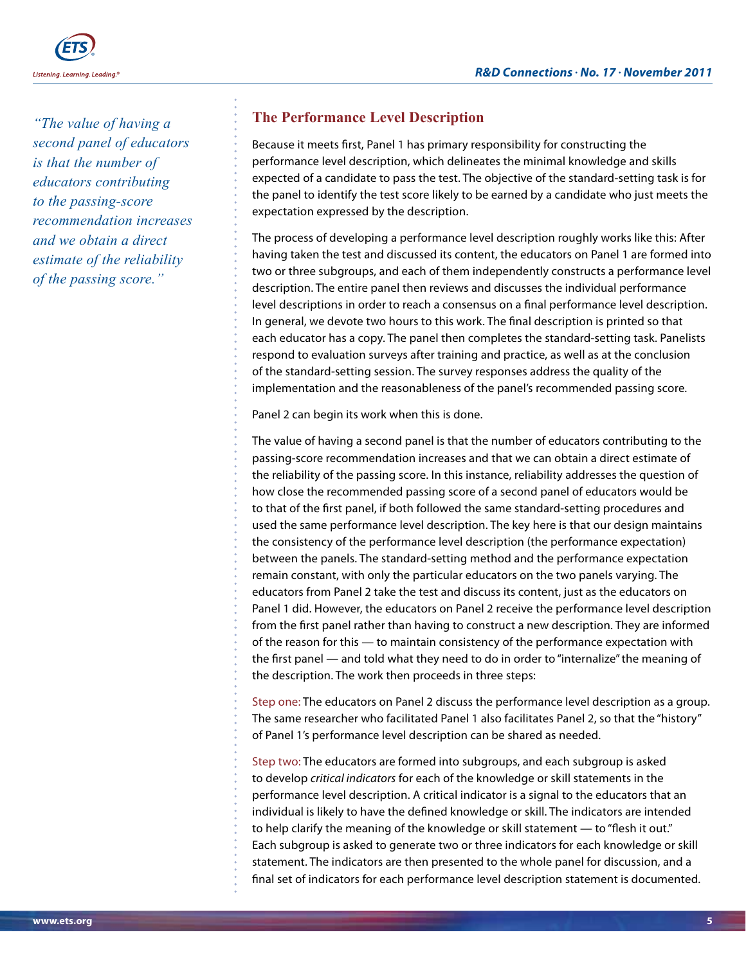

*"The value of having a second panel of educators is that the number of educators contributing to the passing-score recommendation increases and we obtain a direct estimate of the reliability of the passing score."* 

### **The Performance Level Description**

Because it meets first, Panel 1 has primary responsibility for constructing the performance level description, which delineates the minimal knowledge and skills expected of a candidate to pass the test. The objective of the standard-setting task is for the panel to identify the test score likely to be earned by a candidate who just meets the expectation expressed by the description.

The process of developing a performance level description roughly works like this: After having taken the test and discussed its content, the educators on Panel 1 are formed into two or three subgroups, and each of them independently constructs a performance level description. The entire panel then reviews and discusses the individual performance level descriptions in order to reach a consensus on a final performance level description. In general, we devote two hours to this work. The final description is printed so that each educator has a copy. The panel then completes the standard-setting task. Panelists respond to evaluation surveys after training and practice, as well as at the conclusion of the standard-setting session. The survey responses address the quality of the implementation and the reasonableness of the panel's recommended passing score.

Panel 2 can begin its work when this is done.

The value of having a second panel is that the number of educators contributing to the passing-score recommendation increases and that we can obtain a direct estimate of the reliability of the passing score. In this instance, reliability addresses the question of how close the recommended passing score of a second panel of educators would be to that of the first panel, if both followed the same standard-setting procedures and used the same performance level description. The key here is that our design maintains the consistency of the performance level description (the performance expectation) between the panels. The standard-setting method and the performance expectation remain constant, with only the particular educators on the two panels varying. The educators from Panel 2 take the test and discuss its content, just as the educators on Panel 1 did. However, the educators on Panel 2 receive the performance level description from the first panel rather than having to construct a new description. They are informed of the reason for this — to maintain consistency of the performance expectation with the first panel — and told what they need to do in order to "internalize" the meaning of the description. The work then proceeds in three steps:

Step one: The educators on Panel 2 discuss the performance level description as a group. The same researcher who facilitated Panel 1 also facilitates Panel 2, so that the "history" of Panel 1's performance level description can be shared as needed.

Step two: The educators are formed into subgroups, and each subgroup is asked to develop *critical indicators* for each of the knowledge or skill statements in the performance level description. A critical indicator is a signal to the educators that an individual is likely to have the defined knowledge or skill. The indicators are intended to help clarify the meaning of the knowledge or skill statement — to "flesh it out." Each subgroup is asked to generate two or three indicators for each knowledge or skill statement. The indicators are then presented to the whole panel for discussion, and a final set of indicators for each performance level description statement is documented.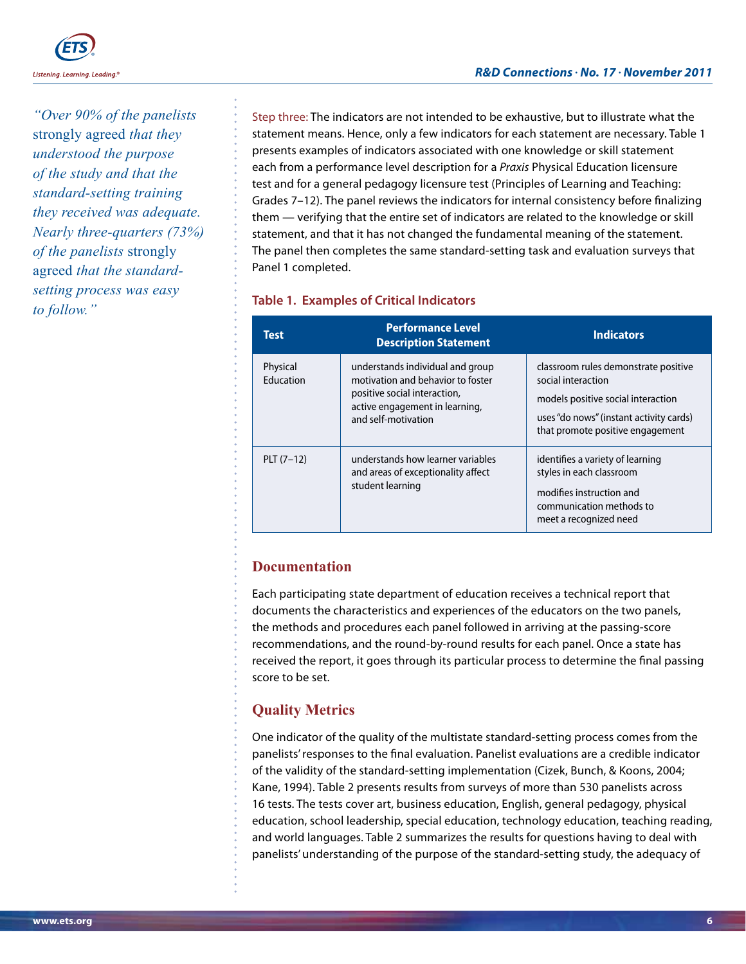

*"Over 90% of the panelists*  strongly agreed *that they understood the purpose of the study and that the standard-setting training they received was adequate. Nearly three-quarters (73%) of the panelists* strongly agreed *that the standardsetting process was easy to follow."*

Step three: The indicators are not intended to be exhaustive, but to illustrate what the statement means. Hence, only a few indicators for each statement are necessary. Table 1 presents examples of indicators associated with one knowledge or skill statement each from a performance level description for a *Praxis* Physical Education licensure test and for a general pedagogy licensure test (Principles of Learning and Teaching: Grades 7–12). The panel reviews the indicators for internal consistency before finalizing them — verifying that the entire set of indicators are related to the knowledge or skill statement, and that it has not changed the fundamental meaning of the statement. The panel then completes the same standard-setting task and evaluation surveys that Panel 1 completed.

#### **Table 1. Examples of Critical Indicators**

| <b>Test</b>           | <b>Performance Level</b><br><b>Description Statement</b>                                                                                                       | <b>Indicators</b>                                                                                                                                                               |
|-----------------------|----------------------------------------------------------------------------------------------------------------------------------------------------------------|---------------------------------------------------------------------------------------------------------------------------------------------------------------------------------|
| Physical<br>Education | understands individual and group<br>motivation and behavior to foster<br>positive social interaction,<br>active engagement in learning,<br>and self-motivation | classroom rules demonstrate positive<br>social interaction<br>models positive social interaction<br>uses "do nows" (instant activity cards)<br>that promote positive engagement |
| $PLT (7-12)$          | understands how learner variables<br>and areas of exceptionality affect<br>student learning                                                                    | identifies a variety of learning<br>styles in each classroom<br>modifies instruction and<br>communication methods to<br>meet a recognized need                                  |

### **Documentation**

Each participating state department of education receives a technical report that documents the characteristics and experiences of the educators on the two panels, the methods and procedures each panel followed in arriving at the passing-score recommendations, and the round-by-round results for each panel. Once a state has received the report, it goes through its particular process to determine the final passing score to be set.

# **Quality Metrics**

One indicator of the quality of the multistate standard-setting process comes from the panelists' responses to the final evaluation. Panelist evaluations are a credible indicator of the validity of the standard-setting implementation (Cizek, Bunch, & Koons, 2004; Kane, 1994). Table 2 presents results from surveys of more than 530 panelists across 16 tests. The tests cover art, business education, English, general pedagogy, physical education, school leadership, special education, technology education, teaching reading, and world languages. Table 2 summarizes the results for questions having to deal with panelists' understanding of the purpose of the standard-setting study, the adequacy of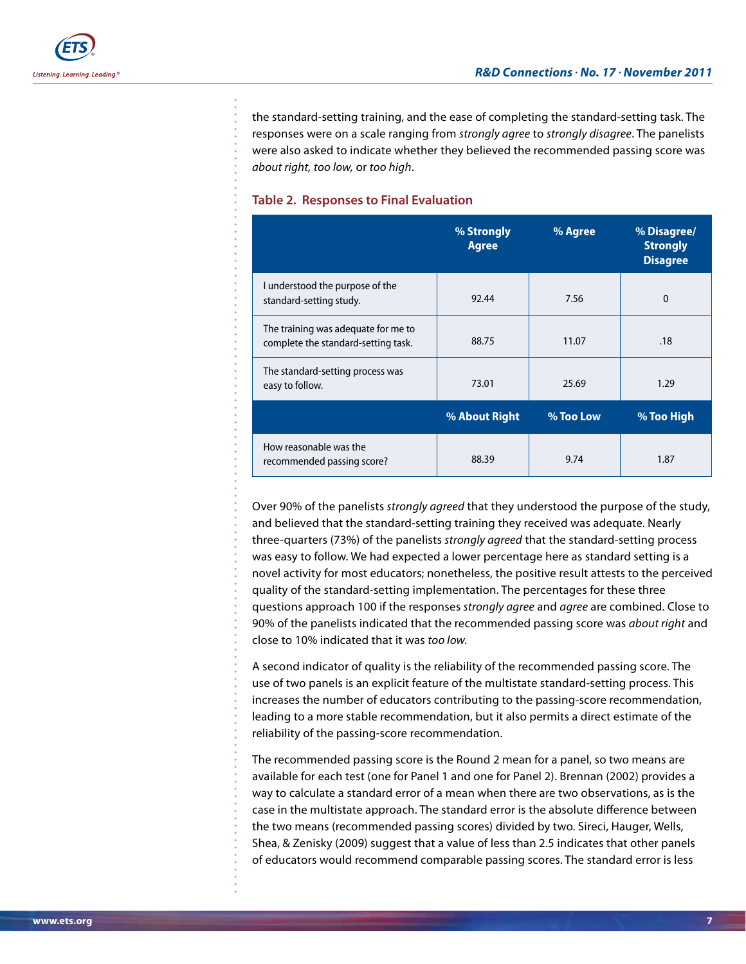the standard-setting training, and the ease of completing the standard-setting task. The responses were on a scale ranging from *strongly agree* to *strongly disagree*. The panelists were also asked to indicate whether they believed the recommended passing score was *about right, too low,* or *too high*.

#### **Table 2. Responses to Final Evaluation**

|                                                                            | % Strongly<br><b>Agree</b> | % Agree   | % Disagree/<br><b>Strongly</b><br><b>Disagree</b> |
|----------------------------------------------------------------------------|----------------------------|-----------|---------------------------------------------------|
| I understood the purpose of the<br>standard-setting study.                 | 92.44                      | 7.56      | $\Omega$                                          |
| The training was adequate for me to<br>complete the standard-setting task. | 88.75                      | 11.07     | .18                                               |
| The standard-setting process was<br>easy to follow.                        | 73.01                      | 25.69     | 1.29                                              |
|                                                                            | % About Right              | % Too Low | % Too High                                        |
| How reasonable was the<br>recommended passing score?                       | 88.39                      | 9.74      | 1.87                                              |

Over 90% of the panelists *strongly agreed* that they understood the purpose of the study, and believed that the standard-setting training they received was adequate. Nearly three-quarters (73%) of the panelists *strongly agreed* that the standard-setting process was easy to follow. We had expected a lower percentage here as standard setting is a novel activity for most educators; nonetheless, the positive result attests to the perceived quality of the standard-setting implementation. The percentages for these three questions approach 100 if the responses *strongly agree* and *agree* are combined. Close to 90% of the panelists indicated that the recommended passing score was *about right* and close to 10% indicated that it was *too low.*

A second indicator of quality is the reliability of the recommended passing score. The use of two panels is an explicit feature of the multistate standard-setting process. This increases the number of educators contributing to the passing-score recommendation, leading to a more stable recommendation, but it also permits a direct estimate of the reliability of the passing-score recommendation.

The recommended passing score is the Round 2 mean for a panel, so two means are available for each test (one for Panel 1 and one for Panel 2). Brennan (2002) provides a way to calculate a standard error of a mean when there are two observations, as is the case in the multistate approach. The standard error is the absolute difference between the two means (recommended passing scores) divided by two. Sireci, Hauger, Wells, Shea, & Zenisky (2009) suggest that a value of less than 2.5 indicates that other panels of educators would recommend comparable passing scores. The standard error is less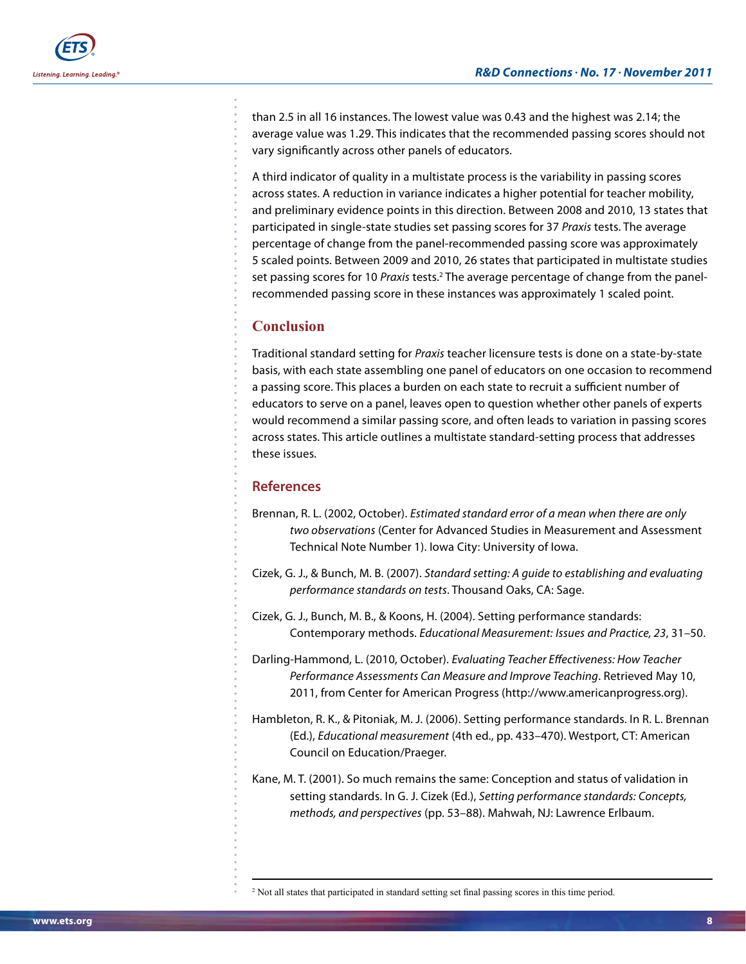than 2.5 in all 16 instances. The lowest value was 0.43 and the highest was 2.14; the average value was 1.29. This indicates that the recommended passing scores should not vary significantly across other panels of educators.

A third indicator of quality in a multistate process is the variability in passing scores across states. A reduction in variance indicates a higher potential for teacher mobility, and preliminary evidence points in this direction. Between 2008 and 2010, 13 states that participated in single-state studies set passing scores for 37 *Praxis* tests. The average percentage of change from the panel-recommended passing score was approximately 5 scaled points. Between 2009 and 2010, 26 states that participated in multistate studies set passing scores for 10 *Praxis* tests.<sup>2</sup> The average percentage of change from the panelrecommended passing score in these instances was approximately 1 scaled point.

### **Conclusion**

Traditional standard setting for *Praxis* teacher licensure tests is done on a state-by-state basis, with each state assembling one panel of educators on one occasion to recommend a passing score. This places a burden on each state to recruit a sufficient number of educators to serve on a panel, leaves open to question whether other panels of experts would recommend a similar passing score, and often leads to variation in passing scores across states. This article outlines a multistate standard-setting process that addresses these issues.

#### **References**

- Brennan, R. L. (2002, October). *Estimated standard error of a mean when there are only two observations* (Center for Advanced Studies in Measurement and Assessment Technical Note Number 1). Iowa City: University of Iowa.
- Cizek, G. J., & Bunch, M. B. (2007). *Standard setting: A guide to establishing and evaluating performance standards on tests*. Thousand Oaks, CA: Sage.
- Cizek, G. J., Bunch, M. B., & Koons, H. (2004). Setting performance standards: Contemporary methods. *Educational Measurement: Issues and Practice, 23*, 31–50.
- Darling-Hammond, L. (2010, October). *Evaluating Teacher Effectiveness: How Teacher Performance Assessments Can Measure and Improve Teaching*. Retrieved May 10, 2011, from Center for American Progress (http://www.americanprogress.org).
- Hambleton, R. K., & Pitoniak, M. J. (2006). Setting performance standards. In R. L. Brennan (Ed.), *Educational measurement* (4th ed., pp. 433–470). Westport, CT: American Council on Education/Praeger.
- Kane, M. T. (2001). So much remains the same: Conception and status of validation in setting standards. In G. J. Cizek (Ed.), *Setting performance standards: Concepts, methods, and perspectives* (pp. 53–88). Mahwah, NJ: Lawrence Erlbaum.

<sup>&</sup>lt;sup>2</sup> Not all states that participated in standard setting set final passing scores in this time period.